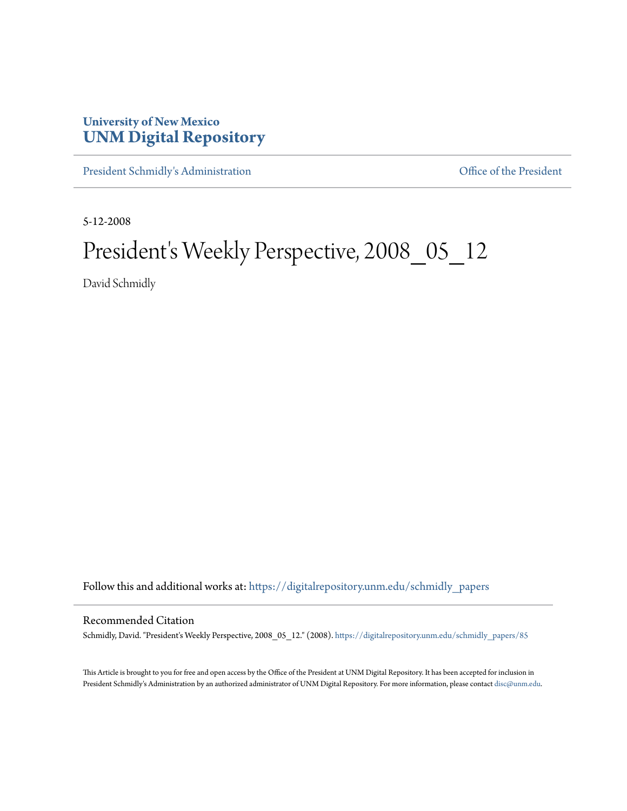## **University of New Mexico [UNM Digital Repository](https://digitalrepository.unm.edu?utm_source=digitalrepository.unm.edu%2Fschmidly_papers%2F85&utm_medium=PDF&utm_campaign=PDFCoverPages)**

[President Schmidly's Administration](https://digitalrepository.unm.edu/schmidly_papers?utm_source=digitalrepository.unm.edu%2Fschmidly_papers%2F85&utm_medium=PDF&utm_campaign=PDFCoverPages) [Office of the President](https://digitalrepository.unm.edu/ofc_president?utm_source=digitalrepository.unm.edu%2Fschmidly_papers%2F85&utm_medium=PDF&utm_campaign=PDFCoverPages)

5-12-2008

## President's Weekly Perspective, 2008\_05\_12

David Schmidly

Follow this and additional works at: [https://digitalrepository.unm.edu/schmidly\\_papers](https://digitalrepository.unm.edu/schmidly_papers?utm_source=digitalrepository.unm.edu%2Fschmidly_papers%2F85&utm_medium=PDF&utm_campaign=PDFCoverPages)

## Recommended Citation

Schmidly, David. "President's Weekly Perspective, 2008\_05\_12." (2008). [https://digitalrepository.unm.edu/schmidly\\_papers/85](https://digitalrepository.unm.edu/schmidly_papers/85?utm_source=digitalrepository.unm.edu%2Fschmidly_papers%2F85&utm_medium=PDF&utm_campaign=PDFCoverPages)

This Article is brought to you for free and open access by the Office of the President at UNM Digital Repository. It has been accepted for inclusion in President Schmidly's Administration by an authorized administrator of UNM Digital Repository. For more information, please contact [disc@unm.edu](mailto:disc@unm.edu).